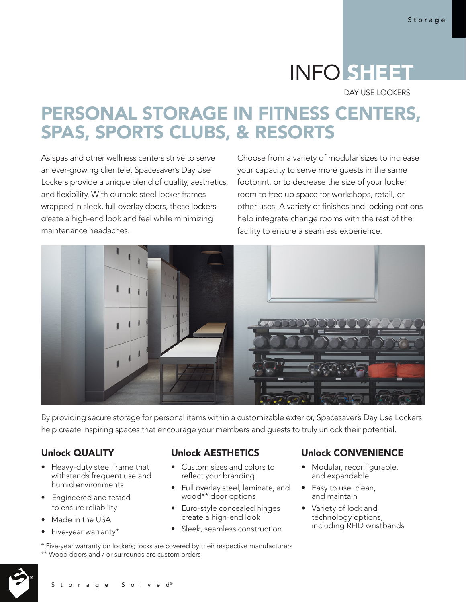# INFO SHEET

DAY USE LOCKERS

# PERSONAL STORAGE IN FITNESS CENTERS, SPAS, SPORTS CLUBS, & RESORTS

As spas and other wellness centers strive to serve an ever-growing clientele, Spacesaver's Day Use Lockers provide a unique blend of quality, aesthetics, and flexibility. With durable steel locker frames wrapped in sleek, full overlay doors, these lockers create a high-end look and feel while minimizing maintenance headaches.

Choose from a variety of modular sizes to increase your capacity to serve more guests in the same footprint, or to decrease the size of your locker room to free up space for workshops, retail, or other uses. A variety of finishes and locking options help integrate change rooms with the rest of the facility to ensure a seamless experience.



By providing secure storage for personal items within a customizable exterior, Spacesaver's Day Use Lockers help create inspiring spaces that encourage your members and guests to truly unlock their potential.

### Unlock QUALITY

- Heavy-duty steel frame that withstands frequent use and humid environments
- Engineered and tested to ensure reliability
- Made in the USA
- Five-year warranty\*

#### Unlock AESTHETICS

- Custom sizes and colors to reflect your branding
- Full overlay steel, laminate, and wood\*\* door options
- Euro-style concealed hinges create a high-end look
- Sleek, seamless construction

Unlock CONVENIENCE

- Modular, reconfigurable, and expandable
- Easy to use, clean, and maintain
- Variety of lock and technology options, including RFID wristbands
- \* Five-year warranty on lockers; locks are covered by their respective manufacturers \*\* Wood doors and / or surrounds are custom orders